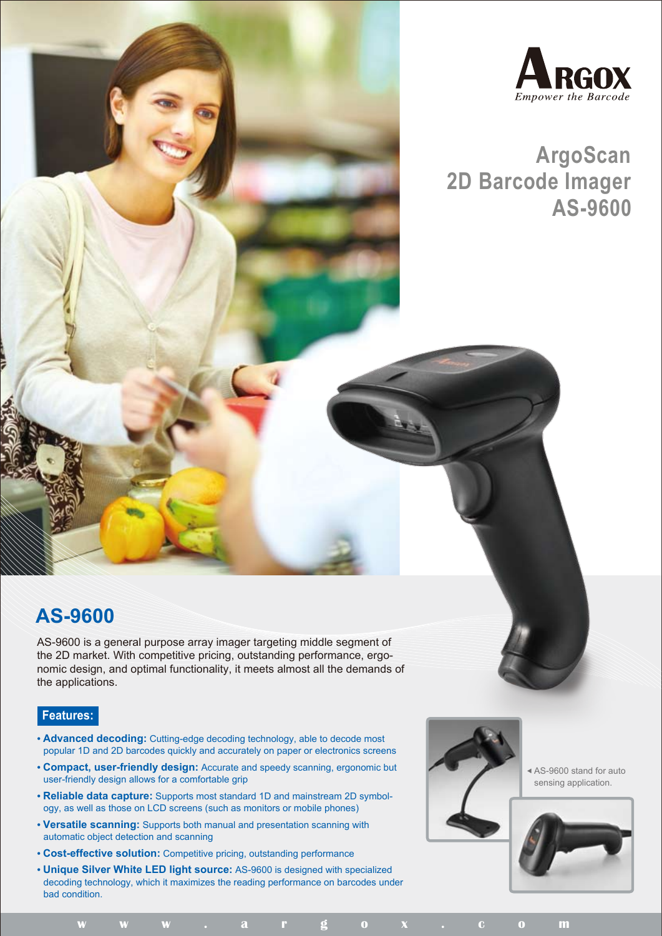

## **ArgoScan 2D Barcode Imager AS-9600**

## **AS-9600**

AS-9600 is a general purpose array imager targeting middle segment of the 2D market. With competitive pricing, outstanding performance, ergonomic design, and optimal functionality, it meets almost all the demands of the applications.

## **Features:**

- **Advanced decoding:** Cutting-edge decoding technology, able to decode most popular 1D and 2D barcodes quickly and accurately on paper or electronics screens
- **Compact, user-friendly design:** Accurate and speedy scanning, ergonomic but user-friendly design allows for a comfortable grip
- **Reliable data capture:** Supports most standard 1D and mainstream 2D symbology, as well as those on LCD screens (such as monitors or mobile phones)
- **Versatile scanning:** Supports both manual and presentation scanning with automatic object detection and scanning
- **Cost-effective solution:** Competitive pricing, outstanding performance
- **Unique Silver White LED light source:** AS-9600 is designed with specialized decoding technology, which it maximizes the reading performance on barcodes under bad condition.



**w w w . a r g o x . c o m**